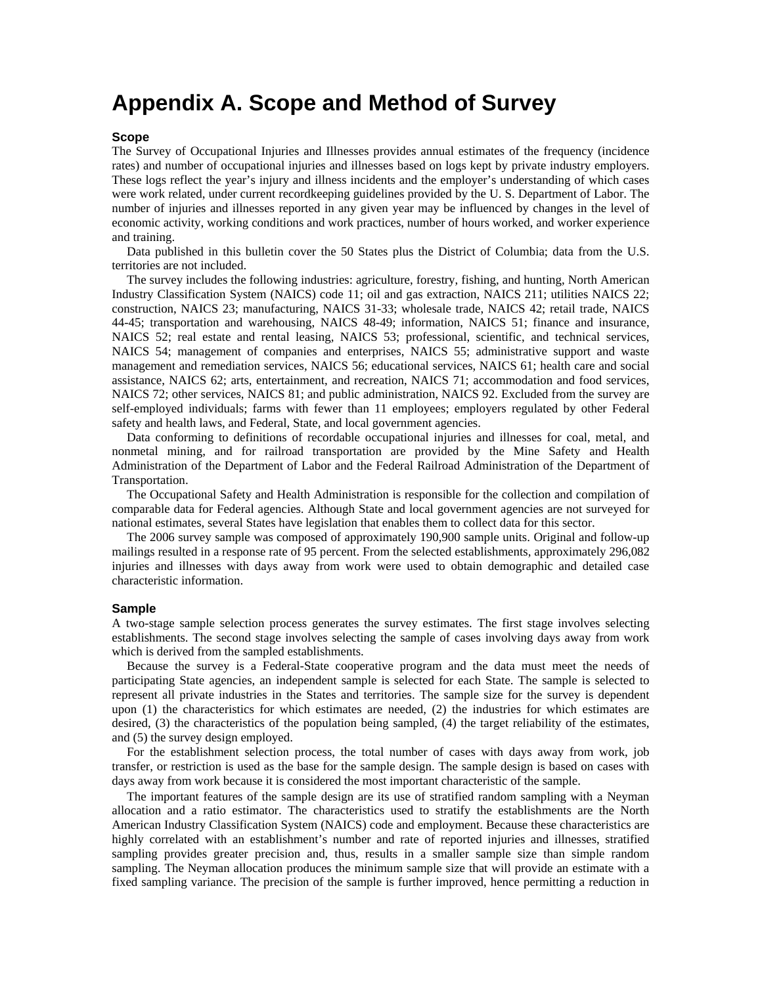# **Appendix A. Scope and Method of Survey**

#### **Scope**

The Survey of Occupational Injuries and Illnesses provides annual estimates of the frequency (incidence rates) and number of occupational injuries and illnesses based on logs kept by private industry employers. These logs reflect the year's injury and illness incidents and the employer's understanding of which cases were work related, under current recordkeeping guidelines provided by the U. S. Department of Labor. The number of injuries and illnesses reported in any given year may be influenced by changes in the level of economic activity, working conditions and work practices, number of hours worked, and worker experience and training.

Data published in this bulletin cover the 50 States plus the District of Columbia; data from the U.S. territories are not included.

The survey includes the following industries: agriculture, forestry, fishing, and hunting, North American Industry Classification System (NAICS) code 11; oil and gas extraction, NAICS 211; utilities NAICS 22; construction, NAICS 23; manufacturing, NAICS 31-33; wholesale trade, NAICS 42; retail trade, NAICS 44-45; transportation and warehousing, NAICS 48-49; information, NAICS 51; finance and insurance, NAICS 52; real estate and rental leasing, NAICS 53; professional, scientific, and technical services, NAICS 54; management of companies and enterprises, NAICS 55; administrative support and waste management and remediation services, NAICS 56; educational services, NAICS 61; health care and social assistance, NAICS 62; arts, entertainment, and recreation, NAICS 71; accommodation and food services, NAICS 72; other services, NAICS 81; and public administration, NAICS 92. Excluded from the survey are self-employed individuals; farms with fewer than 11 employees; employers regulated by other Federal safety and health laws, and Federal, State, and local government agencies.

Data conforming to definitions of recordable occupational injuries and illnesses for coal, metal, and nonmetal mining, and for railroad transportation are provided by the Mine Safety and Health Administration of the Department of Labor and the Federal Railroad Administration of the Department of Transportation.

The Occupational Safety and Health Administration is responsible for the collection and compilation of comparable data for Federal agencies. Although State and local government agencies are not surveyed for national estimates, several States have legislation that enables them to collect data for this sector.

The 2006 survey sample was composed of approximately 190,900 sample units. Original and follow-up mailings resulted in a response rate of 95 percent. From the selected establishments, approximately 296,082 injuries and illnesses with days away from work were used to obtain demographic and detailed case characteristic information.

#### **Sample**

A two-stage sample selection process generates the survey estimates. The first stage involves selecting establishments. The second stage involves selecting the sample of cases involving days away from work which is derived from the sampled establishments.

Because the survey is a Federal-State cooperative program and the data must meet the needs of participating State agencies, an independent sample is selected for each State. The sample is selected to represent all private industries in the States and territories. The sample size for the survey is dependent upon (1) the characteristics for which estimates are needed, (2) the industries for which estimates are desired, (3) the characteristics of the population being sampled, (4) the target reliability of the estimates, and (5) the survey design employed.

For the establishment selection process, the total number of cases with days away from work, job transfer, or restriction is used as the base for the sample design. The sample design is based on cases with days away from work because it is considered the most important characteristic of the sample.

The important features of the sample design are its use of stratified random sampling with a Neyman allocation and a ratio estimator. The characteristics used to stratify the establishments are the North American Industry Classification System (NAICS) code and employment. Because these characteristics are highly correlated with an establishment's number and rate of reported injuries and illnesses, stratified sampling provides greater precision and, thus, results in a smaller sample size than simple random sampling. The Neyman allocation produces the minimum sample size that will provide an estimate with a fixed sampling variance. The precision of the sample is further improved, hence permitting a reduction in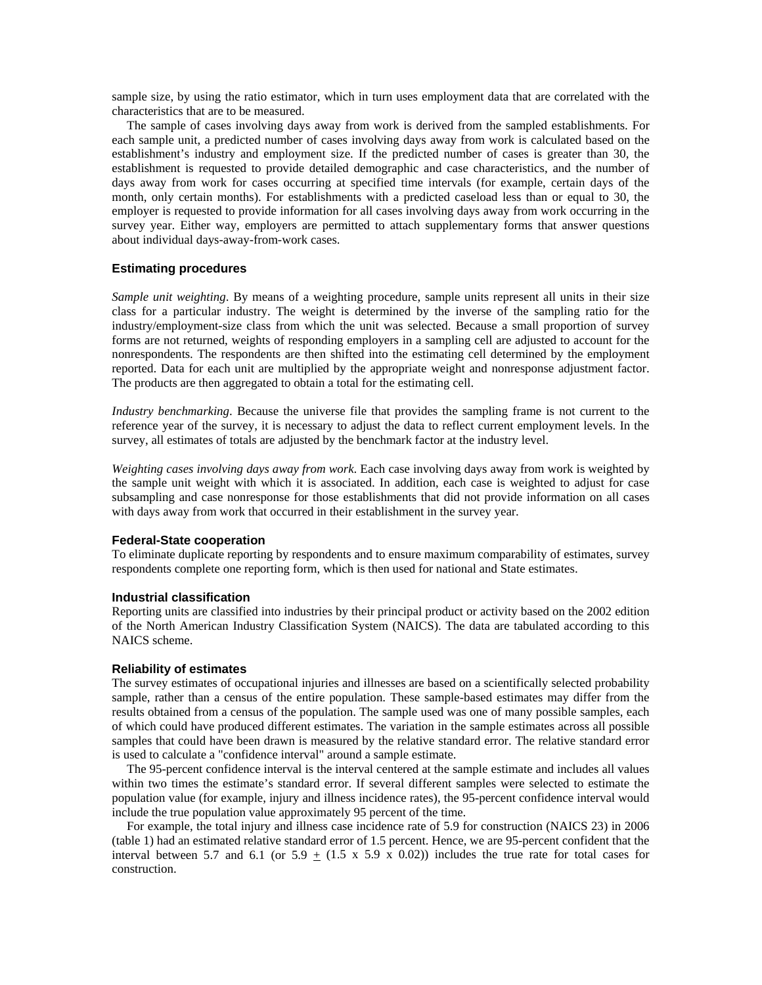sample size, by using the ratio estimator, which in turn uses employment data that are correlated with the characteristics that are to be measured.

The sample of cases involving days away from work is derived from the sampled establishments. For each sample unit, a predicted number of cases involving days away from work is calculated based on the establishment's industry and employment size. If the predicted number of cases is greater than 30, the establishment is requested to provide detailed demographic and case characteristics, and the number of days away from work for cases occurring at specified time intervals (for example, certain days of the month, only certain months). For establishments with a predicted caseload less than or equal to 30, the employer is requested to provide information for all cases involving days away from work occurring in the survey year. Either way, employers are permitted to attach supplementary forms that answer questions about individual days-away-from-work cases.

#### **Estimating procedures**

*Sample unit weighting*. By means of a weighting procedure, sample units represent all units in their size class for a particular industry. The weight is determined by the inverse of the sampling ratio for the industry/employment-size class from which the unit was selected. Because a small proportion of survey forms are not returned, weights of responding employers in a sampling cell are adjusted to account for the nonrespondents. The respondents are then shifted into the estimating cell determined by the employment reported. Data for each unit are multiplied by the appropriate weight and nonresponse adjustment factor. The products are then aggregated to obtain a total for the estimating cell.

*Industry benchmarking*. Because the universe file that provides the sampling frame is not current to the reference year of the survey, it is necessary to adjust the data to reflect current employment levels. In the survey, all estimates of totals are adjusted by the benchmark factor at the industry level.

*Weighting cases involving days away from work*. Each case involving days away from work is weighted by the sample unit weight with which it is associated. In addition, each case is weighted to adjust for case subsampling and case nonresponse for those establishments that did not provide information on all cases with days away from work that occurred in their establishment in the survey year.

#### **Federal-State cooperation**

To eliminate duplicate reporting by respondents and to ensure maximum comparability of estimates, survey respondents complete one reporting form, which is then used for national and State estimates.

#### **Industrial classification**

Reporting units are classified into industries by their principal product or activity based on the 2002 edition of the North American Industry Classification System (NAICS). The data are tabulated according to this NAICS scheme.

#### **Reliability of estimates**

The survey estimates of occupational injuries and illnesses are based on a scientifically selected probability sample, rather than a census of the entire population. These sample-based estimates may differ from the results obtained from a census of the population. The sample used was one of many possible samples, each of which could have produced different estimates. The variation in the sample estimates across all possible samples that could have been drawn is measured by the relative standard error. The relative standard error is used to calculate a "confidence interval" around a sample estimate.

The 95-percent confidence interval is the interval centered at the sample estimate and includes all values within two times the estimate's standard error. If several different samples were selected to estimate the population value (for example, injury and illness incidence rates), the 95-percent confidence interval would include the true population value approximately 95 percent of the time.

For example, the total injury and illness case incidence rate of 5.9 for construction (NAICS 23) in 2006 (table 1) had an estimated relative standard error of 1.5 percent. Hence, we are 95-percent confident that the interval between 5.7 and 6.1 (or  $5.9 \pm (1.5 \times 5.9 \times 0.02)$ ) includes the true rate for total cases for construction.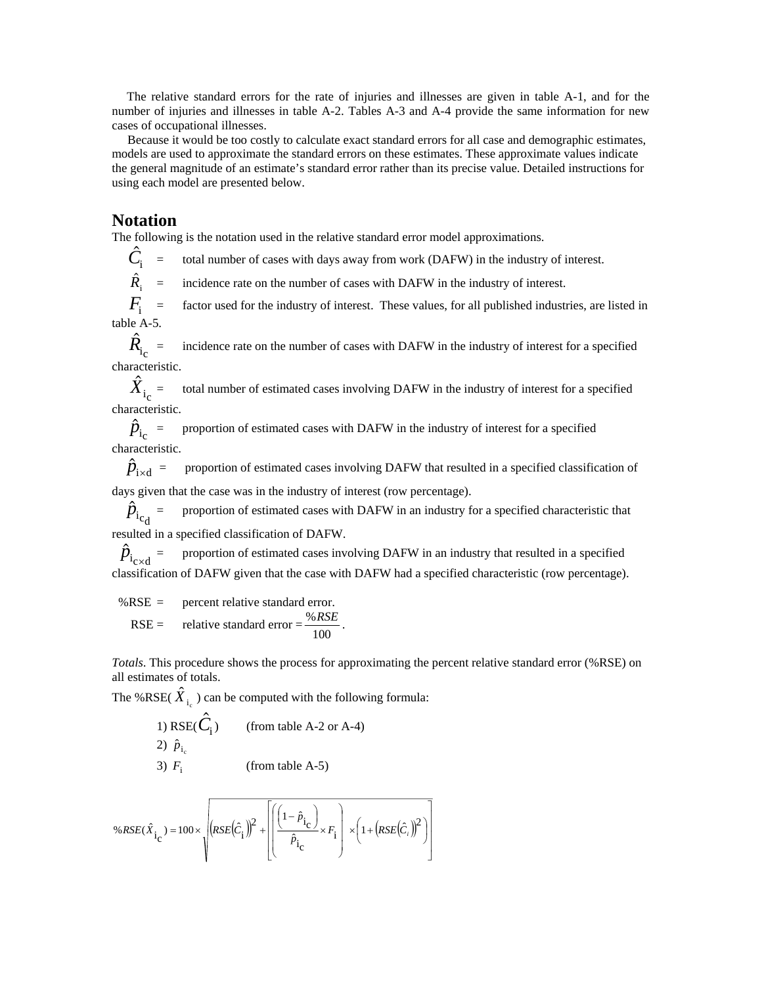The relative standard errors for the rate of injuries and illnesses are given in table A-1, and for the number of injuries and illnesses in table A-2. Tables A-3 and A-4 provide the same information for new cases of occupational illnesses.

 Because it would be too costly to calculate exact standard errors for all case and demographic estimates, models are used to approximate the standard errors on these estimates. These approximate values indicate the general magnitude of an estimate's standard error rather than its precise value. Detailed instructions for using each model are presented below.

## **Notation**

The following is the notation used in the relative standard error model approximations.

= total number of cases with days away from work (DAFW) in the industry of interest.  $\ddot{C}_{\rm i}$ 

incidence rate on the number of cases with DAFW in the industry of interest.  $\hat{R}_{\rm i}$  =

factor used for the industry of interest. These values, for all published industries, are listed in  $F_i$  = table A-5.

incidence rate on the number of cases with DAFW in the industry of interest for a specified characteristic.  $\hat R_{\rm i_{\rm c}}$ 

total number of estimated cases involving DAFW in the industry of interest for a specified characteristic.  $\hat{X}^{}_{\mathrm{i}_{\mathrm{c}}}$ 

 $\hat{p}_{i_c}$  = proportion of estimated cases with DAFW in the industry of interest for a specified characteristic.

 $\hat{p}_{\text{ixd}}$  = proportion of estimated cases involving DAFW that resulted in a specified classification of days given that the case was in the industry of interest (row percentage).

 $\hat{p}_{i_{\rm cd}}$  = proportion of estimated cases with DAFW in an industry for a specified characteristic that resulted in a specified classification of DAFW.

 $\hat{p}_{i_{\text{cxd}}}$  = proportion of estimated cases involving DAFW in an industry that resulted in a specified classification of DAFW given that the case with DAFW had a specified characteristic (row percentage).

 %RSE = percent relative standard error. RSE = relative standard error =  $\frac{\%RSE}{100}$ .

*Totals*. This procedure shows the process for approximating the percent relative standard error (%RSE) on all estimates of totals.

The %RSE( $\hat{X}_{i_c}$ ) can be computed with the following formula:

1) RSE(
$$
\hat{C}_i
$$
) (from table A-2 or A-4)  
2)  $\hat{p}_{i_c}$  (from table A-5)

$$
3) Fi \t(from table A-5)
$$

$$
\%RSE(\hat{X}_{i_{\text{C}}}) = 100 \times \sqrt{\left(RSE(\hat{C}_{i})\right)^{2} + \left[\left(\frac{\left(1-\hat{p}_{i_{\text{C}}}\right)}{\hat{p}_{i_{\text{C}}}} \times F_{i}\right) \times \left(1+\left(RSE(\hat{C}_{i})\right)^{2}\right)\right]}
$$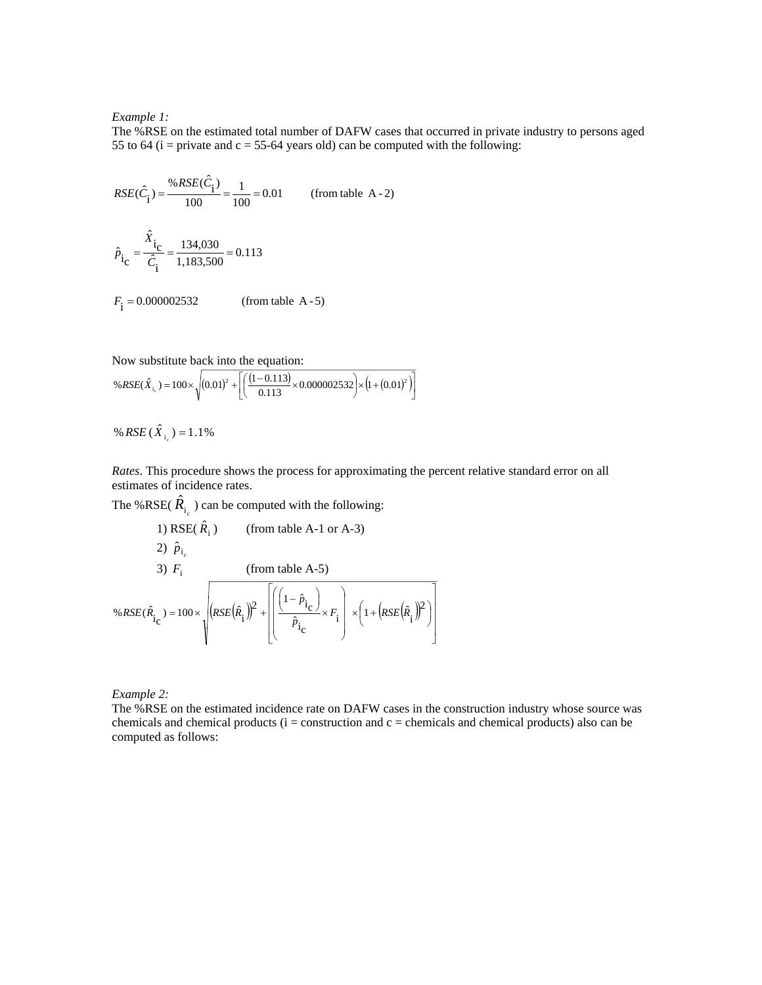#### *Example 1:*

The %RSE on the estimated total number of DAFW cases that occurred in private industry to persons aged 55 to 64 ( $i =$  private and  $c = 55-64$  years old) can be computed with the following:

$$
RSE(\hat{C}_{\hat{i}}) = \frac{\%RSE(\hat{C}_{\hat{i}})}{100} = \frac{1}{100} = 0.01
$$
 (from table A - 2)  

$$
\hat{P}_{\hat{i}_C} = \frac{\hat{X}_{\hat{i}_C}}{\hat{C}_{\hat{i}}} = \frac{134,030}{1,183,500} = 0.113
$$

Now substitute back into the equation:

 $F_i = 0.000002532$  (from table A - 5)

$$
\%RSE(\hat{X}_{i_c}) = 100 \times \sqrt{(0.01)^2 + \left[ \left( \frac{(1 - 0.113)}{0.113} \times 0.000002532 \right) \times \left( 1 + (0.01)^2 \right) \right]}
$$

% RSE  $(\hat{X}_{i}) = 1.1\%$ 

*Rates*. This procedure shows the process for approximating the percent relative standard error on all estimates of incidence rates.

The %RSE( $\hat{R}_{i_c}$ ) can be computed with the following:

1) RSE(
$$
\hat{R}_i
$$
) (from table A-1 or A-3)  
\n2)  $\hat{p}_{i_c}$   
\n3)  $F_i$  (from table A-5)  
\n% $RSE(\hat{R}_{i_c}) = 100 \times \sqrt{\left(RSE(\hat{R}_i)\right)^2 + \left[\left(\frac{\left(1-\hat{p}_{i_c}\right)}{\hat{p}_{i_c}} \times F_i\right) \times \left(1+\left(RSE(\hat{R}_i)\right)^2\right)\right]}$ 

*Example 2:*

The %RSE on the estimated incidence rate on DAFW cases in the construction industry whose source was chemicals and chemical products  $(i =$  construction and  $c =$  chemicals and chemical products) also can be computed as follows: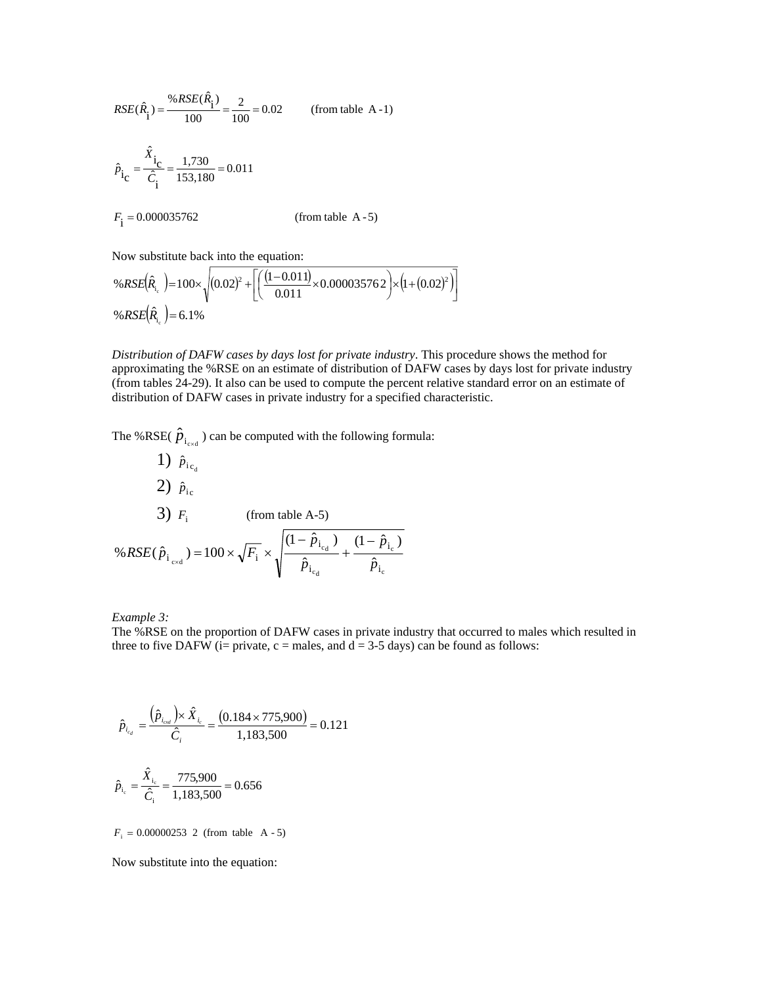$$
RSE(\hat{R}_{i}) = \frac{\%RSE(\hat{R}_{i})}{100} = \frac{2}{100} = 0.02
$$
 (from table A-1)  

$$
\hat{P}_{i_{C}} = \frac{\hat{X}_{i_{C}}}{\hat{C}_{i}} = \frac{1,730}{153,180} = 0.011
$$

$$
F_{i} = 0.000035762
$$
 (from table A-5)

Now substitute back into the equation:

$$
\%RSE(\hat{R}_{i_c}) = 100 \times \sqrt{(0.02)^2 + \left[ \left( \frac{(1 - 0.011)}{0.011} \times 0.000035762 \right) \times (1 + (0.02)^2) \right]}
$$
  
\n
$$
\%RSE(\hat{R}_{i_c}) = 6.1\%
$$

*Distribution of DAFW cases by days lost for private industry*. This procedure shows the method for approximating the %RSE on an estimate of distribution of DAFW cases by days lost for private industry (from tables 24-29). It also can be used to compute the percent relative standard error on an estimate of distribution of DAFW cases in private industry for a specified characteristic.

The %RSE( $\hat{p}_{i_{\text{rad}}}$ ) can be computed with the following formula:

1) 
$$
\hat{p}_{i_{c_d}}
$$
  
\n2)  $\hat{p}_{i_c}$   
\n3)  $F_i$  (from table A-5)  
\n% $RSE(\hat{p}_{i_{cxd}}) = 100 \times \sqrt{F_i} \times \sqrt{\frac{(1 - \hat{p}_{i_{c_d}})}{\hat{p}_{i_{c_d}}} + \frac{(1 - \hat{p}_{i_c})}{\hat{p}_{i_c}}}$ 

*Example 3:*

The %RSE on the proportion of DAFW cases in private industry that occurred to males which resulted in three to five DAFW (i= private,  $c$  = males, and  $d = 3-5$  days) can be found as follows:

$$
\hat{p}_{i_{c_d}} = \frac{(\hat{p}_{i_{c_d}}) \times \hat{X}_{i_c}}{\hat{C}_i} = \frac{(0.184 \times 775,900)}{1,183,500} = 0.121
$$
\n
$$
\hat{p}_{i_c} = \frac{\hat{X}_{i_c}}{\hat{C}_i} = \frac{775,900}{1,183,500} = 0.656
$$

 $F_i = 0.00000253$  2 (from table A - 5)

Now substitute into the equation: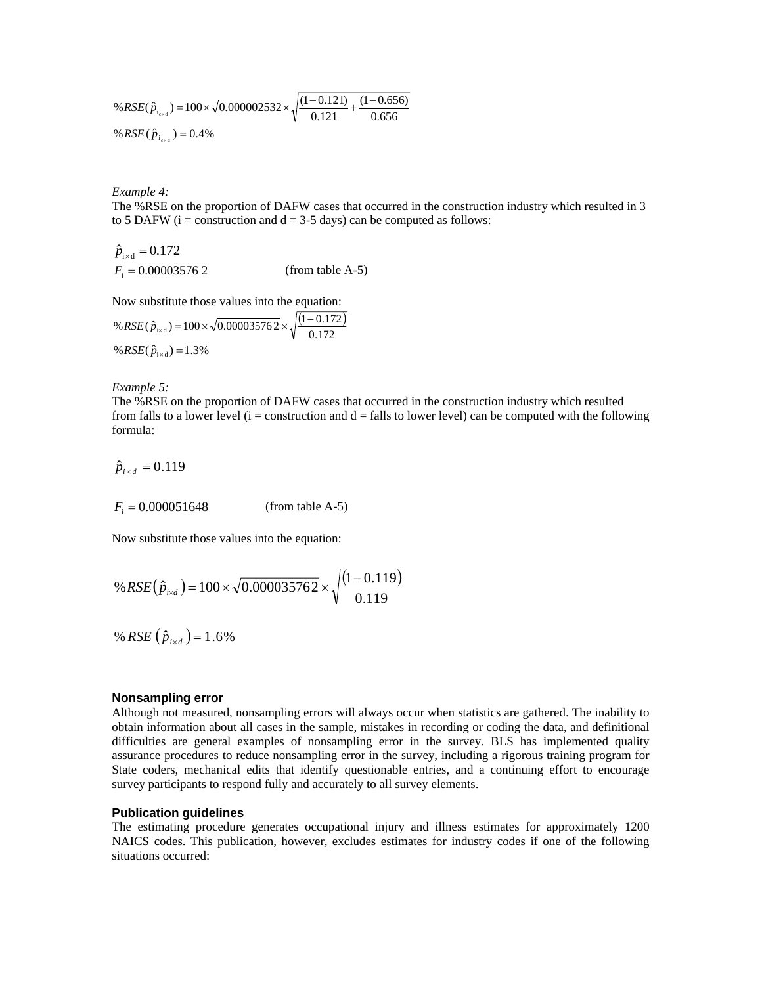%
$$
\%RSE(\hat{p}_{i_{\text{exd}}}) = 100 \times \sqrt{0.000002532} \times \sqrt{\frac{(1 - 0.121)}{0.121} + \frac{(1 - 0.656)}{0.656}}
$$
  
\n%
$$
\%RSE(\hat{p}_{i_{\text{exd}}}) = 0.4\%
$$

*Example 4:*

The %RSE on the proportion of DAFW cases that occurred in the construction industry which resulted in 3 to 5 DAFW ( $i =$  construction and  $d = 3-5$  days) can be computed as follows:

 $\hat{p}_{\text{i} \times \text{d}} = 0.172$  $F_i = 0.000035762$  *(from table A-5)* 

Now substitute those values into the equation:

% RSE(
$$
\hat{p}_{i \times d}
$$
) = 100 ×  $\sqrt{0.000035762}$  ×  $\sqrt{\frac{(1 - 0.172)}{0.172}}$   
% RSE( $\hat{p}_{i \times d}$ ) = 1.3%

*Example 5:* 

The %RSE on the proportion of DAFW cases that occurred in the construction industry which resulted from falls to a lower level ( $i =$  construction and  $d =$  falls to lower level) can be computed with the following formula:

 $\hat{p}_{i \times d} = 0.119$ 

 $F_i = 0.000051648$  (from table A-5)

Now substitute those values into the equation:

% RSE(
$$
\hat{p}_{i \times d}
$$
) = 100 ×  $\sqrt{0.000035762}$  ×  $\sqrt{\frac{(1 - 0.119)}{0.119}}$ 

% RSE  $(\hat{p}_{i \times d}) = 1.6\%$ 

### **Nonsampling error**

Although not measured, nonsampling errors will always occur when statistics are gathered. The inability to obtain information about all cases in the sample, mistakes in recording or coding the data, and definitional difficulties are general examples of nonsampling error in the survey. BLS has implemented quality assurance procedures to reduce nonsampling error in the survey, including a rigorous training program for State coders, mechanical edits that identify questionable entries, and a continuing effort to encourage survey participants to respond fully and accurately to all survey elements.

#### **Publication guidelines**

The estimating procedure generates occupational injury and illness estimates for approximately 1200 NAICS codes. This publication, however, excludes estimates for industry codes if one of the following situations occurred: